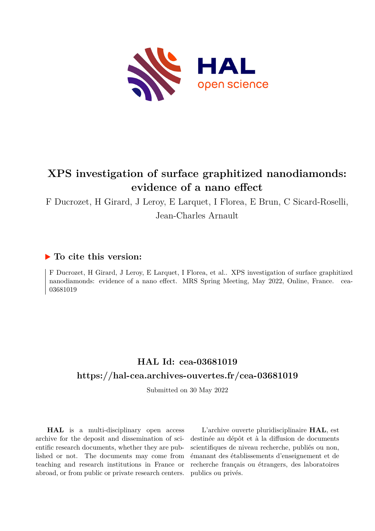

# **XPS investigation of surface graphitized nanodiamonds: evidence of a nano effect**

F Ducrozet, H Girard, J Leroy, E Larquet, I Florea, E Brun, C Sicard-Roselli,

Jean-Charles Arnault

### **To cite this version:**

F Ducrozet, H Girard, J Leroy, E Larquet, I Florea, et al.. XPS investigation of surface graphitized nanodiamonds: evidence of a nano effect. MRS Spring Meeting, May 2022, Online, France. cea-03681019

## **HAL Id: cea-03681019 <https://hal-cea.archives-ouvertes.fr/cea-03681019>**

Submitted on 30 May 2022

**HAL** is a multi-disciplinary open access archive for the deposit and dissemination of scientific research documents, whether they are published or not. The documents may come from teaching and research institutions in France or abroad, or from public or private research centers.

L'archive ouverte pluridisciplinaire **HAL**, est destinée au dépôt et à la diffusion de documents scientifiques de niveau recherche, publiés ou non, émanant des établissements d'enseignement et de recherche français ou étrangers, des laboratoires publics ou privés.